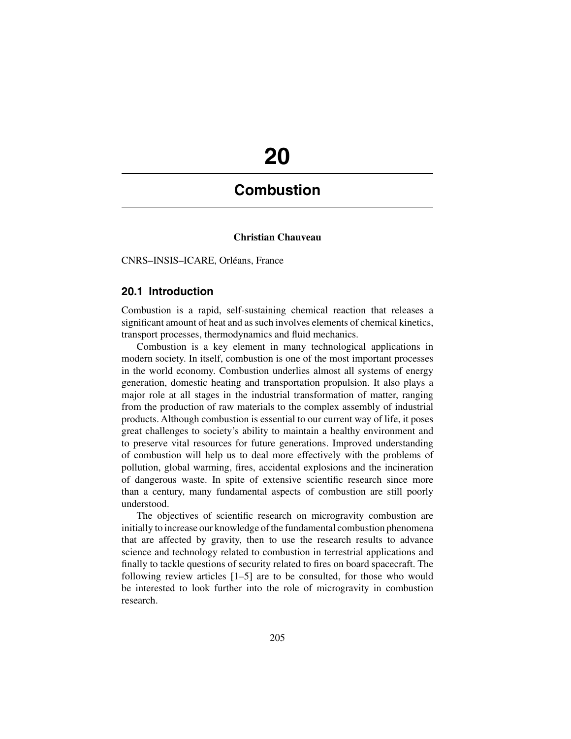# **20**

## **Combustion**

#### **Christian Chauveau**

CNRS–INSIS–ICARE, Orléans, France

#### **20.1 Introduction**

Combustion is a rapid, self-sustaining chemical reaction that releases a significant amount of heat and as such involves elements of chemical kinetics, transport processes, thermodynamics and fluid mechanics.

Combustion is a key element in many technological applications in modern society. In itself, combustion is one of the most important processes in the world economy. Combustion underlies almost all systems of energy generation, domestic heating and transportation propulsion. It also plays a major role at all stages in the industrial transformation of matter, ranging from the production of raw materials to the complex assembly of industrial products. Although combustion is essential to our current way of life, it poses great challenges to society's ability to maintain a healthy environment and to preserve vital resources for future generations. Improved understanding of combustion will help us to deal more effectively with the problems of pollution, global warming, fires, accidental explosions and the incineration of dangerous waste. In spite of extensive scientific research since more than a century, many fundamental aspects of combustion are still poorly understood.

The objectives of scientific research on microgravity combustion are initially to increase our knowledge of the fundamental combustion phenomena that are affected by gravity, then to use the research results to advance science and technology related to combustion in terrestrial applications and finally to tackle questions of security related to fires on board spacecraft. The following review articles [1–5] are to be consulted, for those who would be interested to look further into the role of microgravity in combustion research.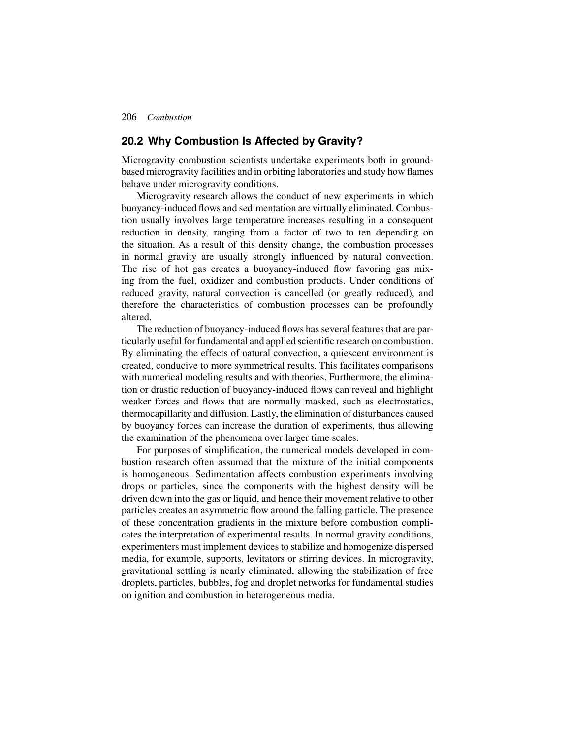206 *Combustion*

#### **20.2 Why Combustion Is Affected by Gravity?**

Microgravity combustion scientists undertake experiments both in groundbased microgravity facilities and in orbiting laboratories and study how flames behave under microgravity conditions.

Microgravity research allows the conduct of new experiments in which buoyancy-induced flows and sedimentation are virtually eliminated. Combustion usually involves large temperature increases resulting in a consequent reduction in density, ranging from a factor of two to ten depending on the situation. As a result of this density change, the combustion processes in normal gravity are usually strongly influenced by natural convection. The rise of hot gas creates a buoyancy-induced flow favoring gas mixing from the fuel, oxidizer and combustion products. Under conditions of reduced gravity, natural convection is cancelled (or greatly reduced), and therefore the characteristics of combustion processes can be profoundly altered.

The reduction of buoyancy-induced flows has several features that are particularly useful for fundamental and applied scientific research on combustion. By eliminating the effects of natural convection, a quiescent environment is created, conducive to more symmetrical results. This facilitates comparisons with numerical modeling results and with theories. Furthermore, the elimination or drastic reduction of buoyancy-induced flows can reveal and highlight weaker forces and flows that are normally masked, such as electrostatics, thermocapillarity and diffusion. Lastly, the elimination of disturbances caused by buoyancy forces can increase the duration of experiments, thus allowing the examination of the phenomena over larger time scales.

For purposes of simplification, the numerical models developed in combustion research often assumed that the mixture of the initial components is homogeneous. Sedimentation affects combustion experiments involving drops or particles, since the components with the highest density will be driven down into the gas or liquid, and hence their movement relative to other particles creates an asymmetric flow around the falling particle. The presence of these concentration gradients in the mixture before combustion complicates the interpretation of experimental results. In normal gravity conditions, experimenters must implement devices to stabilize and homogenize dispersed media, for example, supports, levitators or stirring devices. In microgravity, gravitational settling is nearly eliminated, allowing the stabilization of free droplets, particles, bubbles, fog and droplet networks for fundamental studies on ignition and combustion in heterogeneous media.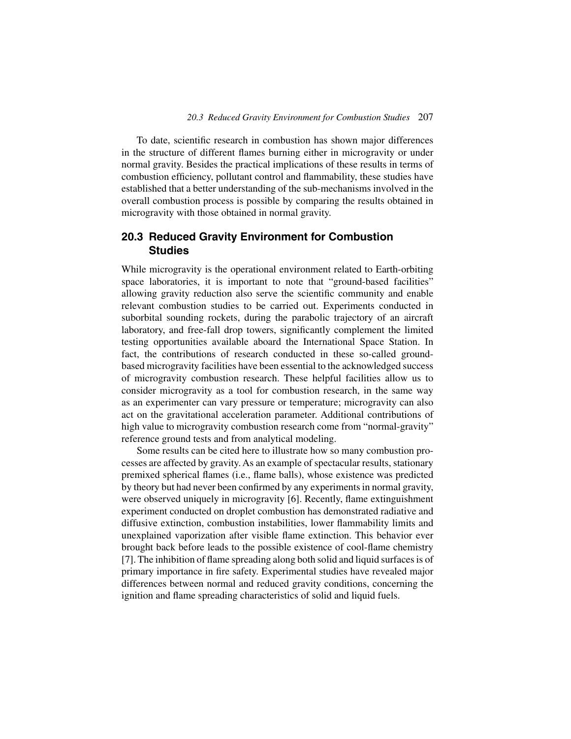To date, scientific research in combustion has shown major differences in the structure of different flames burning either in microgravity or under normal gravity. Besides the practical implications of these results in terms of combustion efficiency, pollutant control and flammability, these studies have established that a better understanding of the sub-mechanisms involved in the overall combustion process is possible by comparing the results obtained in microgravity with those obtained in normal gravity.

### **20.3 Reduced Gravity Environment for Combustion Studies**

While microgravity is the operational environment related to Earth-orbiting space laboratories, it is important to note that "ground-based facilities" allowing gravity reduction also serve the scientific community and enable relevant combustion studies to be carried out. Experiments conducted in suborbital sounding rockets, during the parabolic trajectory of an aircraft laboratory, and free-fall drop towers, significantly complement the limited testing opportunities available aboard the International Space Station. In fact, the contributions of research conducted in these so-called groundbased microgravity facilities have been essential to the acknowledged success of microgravity combustion research. These helpful facilities allow us to consider microgravity as a tool for combustion research, in the same way as an experimenter can vary pressure or temperature; microgravity can also act on the gravitational acceleration parameter. Additional contributions of high value to microgravity combustion research come from "normal-gravity" reference ground tests and from analytical modeling.

Some results can be cited here to illustrate how so many combustion processes are affected by gravity. As an example of spectacular results, stationary premixed spherical flames (i.e., flame balls), whose existence was predicted by theory but had never been confirmed by any experiments in normal gravity, were observed uniquely in microgravity [6]. Recently, flame extinguishment experiment conducted on droplet combustion has demonstrated radiative and diffusive extinction, combustion instabilities, lower flammability limits and unexplained vaporization after visible flame extinction. This behavior ever brought back before leads to the possible existence of cool-flame chemistry [7]. The inhibition of flame spreading along both solid and liquid surfaces is of primary importance in fire safety. Experimental studies have revealed major differences between normal and reduced gravity conditions, concerning the ignition and flame spreading characteristics of solid and liquid fuels.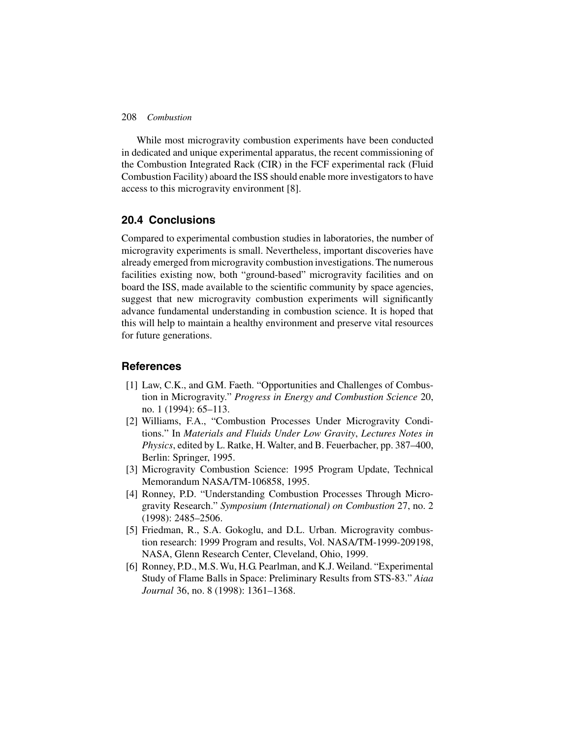#### 208 *Combustion*

While most microgravity combustion experiments have been conducted in dedicated and unique experimental apparatus, the recent commissioning of the Combustion Integrated Rack (CIR) in the FCF experimental rack (Fluid Combustion Facility) aboard the ISS should enable more investigators to have access to this microgravity environment [8].

#### **20.4 Conclusions**

Compared to experimental combustion studies in laboratories, the number of microgravity experiments is small. Nevertheless, important discoveries have already emerged from microgravity combustion investigations. The numerous facilities existing now, both "ground-based" microgravity facilities and on board the ISS, made available to the scientific community by space agencies, suggest that new microgravity combustion experiments will significantly advance fundamental understanding in combustion science. It is hoped that this will help to maintain a healthy environment and preserve vital resources for future generations.

#### **References**

- [1] Law, C.K., and G.M. Faeth. "Opportunities and Challenges of Combustion in Microgravity." *Progress in Energy and Combustion Science* 20, no. 1 (1994): 65–113.
- [2] Williams, F.A., "Combustion Processes Under Microgravity Conditions." In *Materials and Fluids Under Low Gravity*, *Lectures Notes in Physics*, edited by L. Ratke, H. Walter, and B. Feuerbacher, pp. 387–400, Berlin: Springer, 1995.
- [3] Microgravity Combustion Science: 1995 Program Update, Technical Memorandum NASA/TM-106858, 1995.
- [4] Ronney, P.D. "Understanding Combustion Processes Through Microgravity Research." *Symposium (International) on Combustion* 27, no. 2 (1998): 2485–2506.
- [5] Friedman, R., S.A. Gokoglu, and D.L. Urban. Microgravity combustion research: 1999 Program and results, Vol. NASA/TM-1999-209198, NASA, Glenn Research Center, Cleveland, Ohio, 1999.
- [6] Ronney, P.D., M.S. Wu, H.G. Pearlman, and K.J. Weiland. "Experimental Study of Flame Balls in Space: Preliminary Results from STS-83." *Aiaa Journal* 36, no. 8 (1998): 1361–1368.